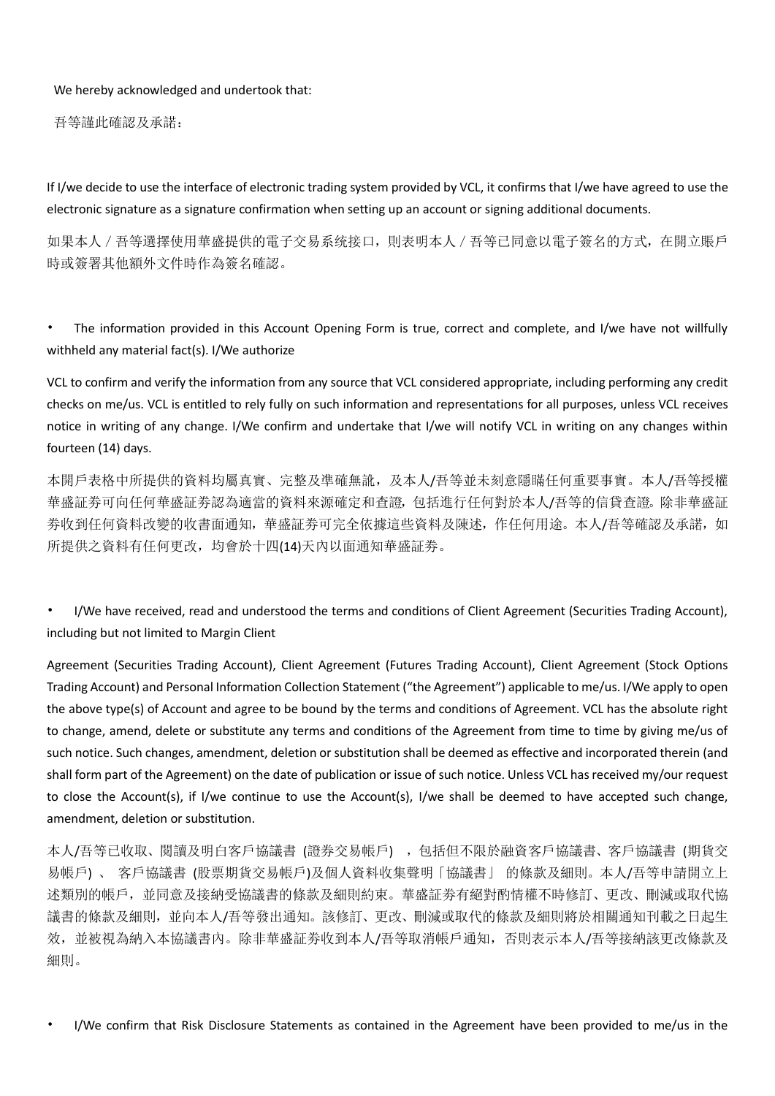We hereby acknowledged and undertook that:

吾等謹此確認及承諾:

If I/we decide to use the interface of electronic trading system provided by VCL, it confirms that I/we have agreed to use the electronic signature as a signature confirmation when setting up an account or signing additional documents.

如果本人/吾等選擇使用華盛提供的電子交易系统接口,則表明本人/吾等已同意以電子簽名的方式,在開立賬戶 時或簽署其他額外文件時作為簽名確認。

The information provided in this Account Opening Form is true, correct and complete, and I/we have not willfully withheld any material fact(s). I/We authorize

VCL to confirm and verify the information from any source that VCL considered appropriate, including performing any credit checks on me/us. VCL is entitled to rely fully on such information and representations for all purposes, unless VCL receives notice in writing of any change. I/We confirm and undertake that I/we will notify VCL in writing on any changes within fourteen (14) days.

本開戶表格中所提供的資料均屬真實、完整及凖確無訛,及本人/吾等並未刻意隱瞞任何重要事實。本人/吾等授權 華盛証劵可向任何華盛証劵認為適當的資料來源確定和查證,包括進行任何對於本人/吾等的信貸查證。除非華盛証 劵收到任何資料改變的收書面通知,華盛証劵可完全依據這些資料及陳述,作任何用途。本人/吾等確認及承諾,如 所提供之資料有任何更改,均會於十四(14)天內以面通知華盛証劵。

• I/We have received, read and understood the terms and conditions of Client Agreement (Securities Trading Account), including but not limited to Margin Client

Agreement (Securities Trading Account), Client Agreement (Futures Trading Account), Client Agreement (Stock Options Trading Account) and Personal Information Collection Statement ("the Agreement") applicable to me/us. I/We apply to open the above type(s) of Account and agree to be bound by the terms and conditions of Agreement. VCL has the absolute right to change, amend, delete or substitute any terms and conditions of the Agreement from time to time by giving me/us of such notice. Such changes, amendment, deletion or substitution shall be deemed as effective and incorporated therein (and shall form part of the Agreement) on the date of publication or issue of such notice. Unless VCL has received my/our request to close the Account(s), if I/we continue to use the Account(s), I/we shall be deemed to have accepted such change, amendment, deletion or substitution.

本人/吾等已收取、閱讀及明白客戶協議書(證券交易帳戶), 包括但不限於融資客戶協議書、客戶協議書(期貨交 易帳戶) 、 客戶協議書 (股票期貨交易帳戶)及個人資料收集聲明「協議書」 的條款及細則。本人/吾等申請開立上 述類別的帳戶,並同意及接納受協議書的條款及細則約束。華盛証劵有絕對酌情權不時修訂、更改、刪減或取代協 議書的條款及細則,並向本人/吾等發出通知。該修訂、更改、刪減或取代的條款及細則將於相關通知刊載之日起生 效,並被視為納入本協議書內。除非華盛証劵收到本人/吾等取消帳戶通知,否則表示本人/吾等接納該更改條款及 細則。

• I/We confirm that Risk Disclosure Statements as contained in the Agreement have been provided to me/us in the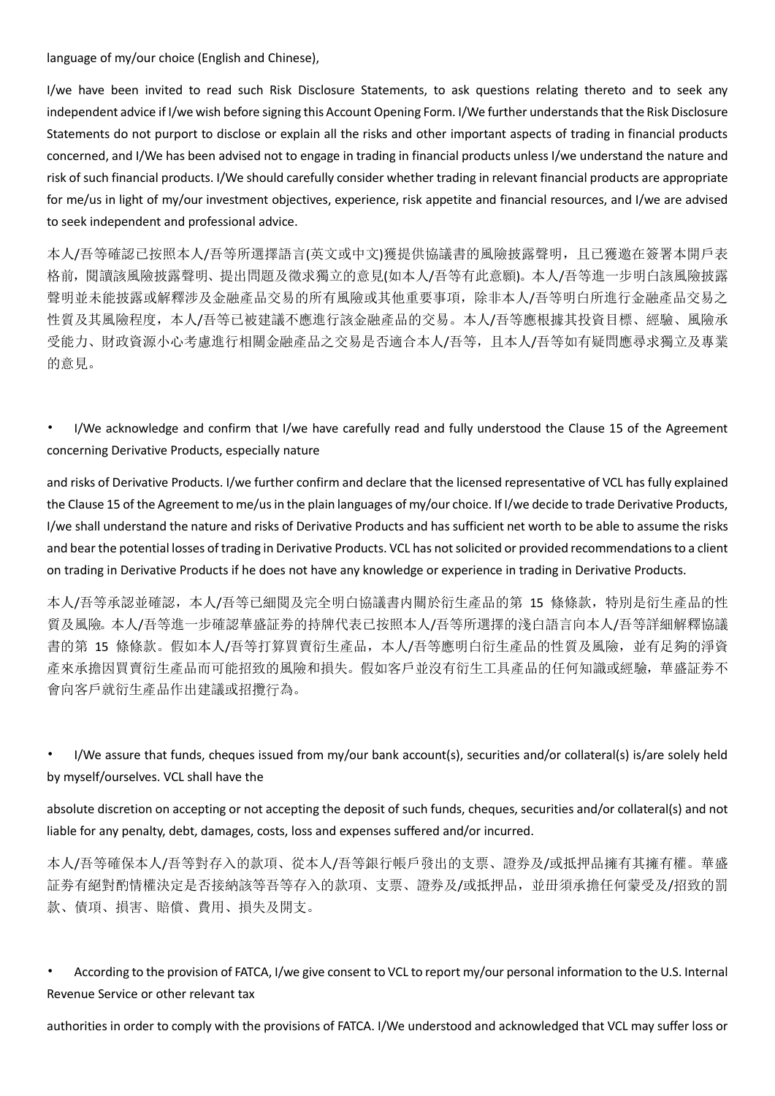language of my/our choice (English and Chinese),

I/we have been invited to read such Risk Disclosure Statements, to ask questions relating thereto and to seek any independent advice if I/we wish before signing this Account Opening Form. I/We further understands that the Risk Disclosure Statements do not purport to disclose or explain all the risks and other important aspects of trading in financial products concerned, and I/We has been advised not to engage in trading in financial products unless I/we understand the nature and risk of such financial products. I/We should carefully consider whether trading in relevant financial products are appropriate for me/us in light of my/our investment objectives, experience, risk appetite and financial resources, and I/we are advised to seek independent and professional advice.

本人/吾等確認已按照本人/吾等所選擇語言(英文或中文)獲提供協議書的風險披露聲明,且已獲邀在簽署本開戶表 格前,閱讀該風險披露聲明、提出問題及徵求獨立的意見(如本人/吾等有此意願)。本人/吾等進一步明白該風險披露 聲明並未能披露或解釋涉及金融產品交易的所有風險或其他重要事項,除非本人/吾等明白所進行金融產品交易之 性質及其風險程度,本人/吾等已被建議不應進行該金融產品的交易。本人/吾等應根據其投資目標、經驗、風險承 受能力、財政資源小心考慮進行相關金融產品之交易是否適合本人/吾等,且本人/吾等如有疑問應尋求獨立及專業 的意見。

• I/We acknowledge and confirm that I/we have carefully read and fully understood the Clause 15 of the Agreement concerning Derivative Products, especially nature

and risks of Derivative Products. I/we further confirm and declare that the licensed representative of VCL has fully explained the Clause 15 of the Agreement to me/us in the plain languages of my/our choice. If I/we decide to trade Derivative Products, I/we shall understand the nature and risks of Derivative Products and has sufficient net worth to be able to assume the risks and bear the potential losses of trading in Derivative Products. VCL has not solicited or provided recommendations to a client on trading in Derivative Products if he does not have any knowledge or experience in trading in Derivative Products.

本人/吾等承認並確認,本人/吾等已細閱及完全明白協議書内關於衍生產品的第 15 條條款,特別是衍生產品的性 質及風險。本人/吾等進一步確認華盛証劵的持牌代表已按照本人/吾等所選擇的淺白語言向本人/吾等詳細解釋協議 書的第 15 條條款。假如本人/吾等打算買賣衍生產品,本人/吾等應明白衍生產品的性質及風險,並有足夠的淨資 產來承擔因買賣衍生產品而可能招致的風險和損失。假如客戶並沒有衍生工具產品的任何知識或經驗,華盛証劵不 會向客戶就衍生產品作出建議或招攬行為。

• I/We assure that funds, cheques issued from my/our bank account(s), securities and/or collateral(s) is/are solely held by myself/ourselves. VCL shall have the

absolute discretion on accepting or not accepting the deposit of such funds, cheques, securities and/or collateral(s) and not liable for any penalty, debt, damages, costs, loss and expenses suffered and/or incurred.

本人/吾等確保本人/吾等對存入的款項、從本人/吾等銀行帳戶發出的支票、證券及/或抵押品擁有其擁有權。華盛 証劵有絕對酌情權決定是否接納該等吾等存入的款項、支票、證券及/或抵押品,並毌須承擔任何蒙受及/招致的罰 款、債項、損害、賠償、費用、損失及開支。

• According to the provision of FATCA, I/we give consent to VCL to report my/our personal information to the U.S. Internal Revenue Service or other relevant tax

authorities in order to comply with the provisions of FATCA. I/We understood and acknowledged that VCL may suffer loss or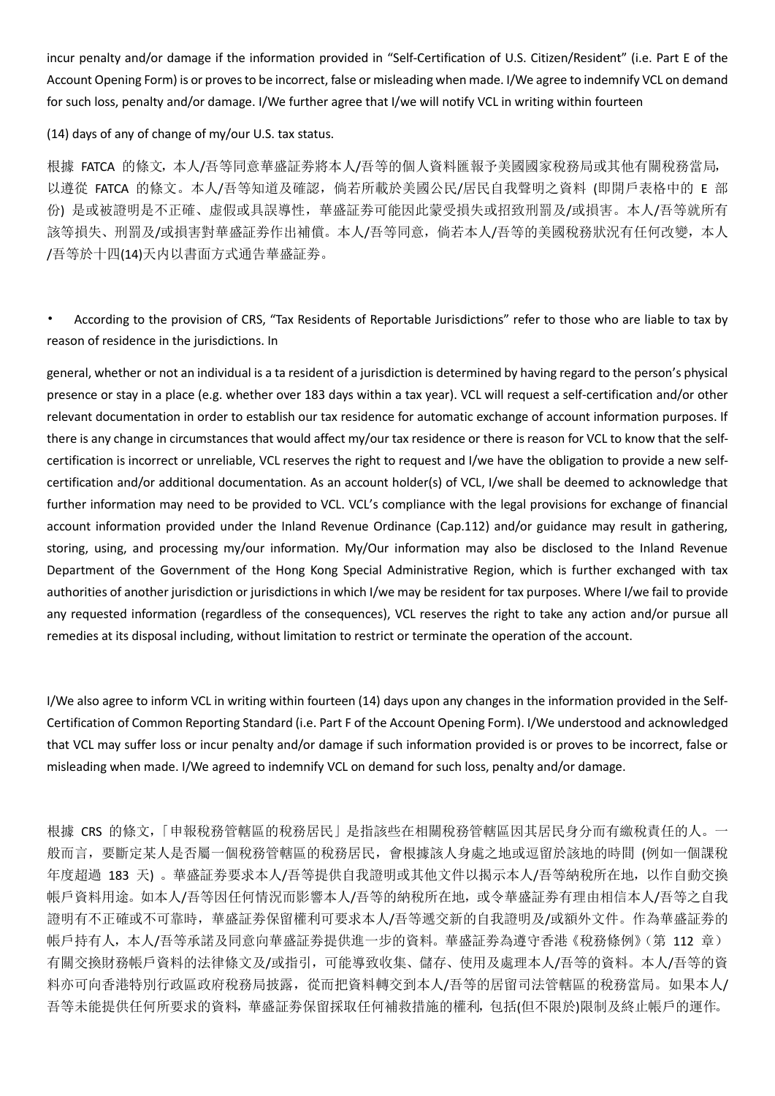incur penalty and/or damage if the information provided in "Self-Certification of U.S. Citizen/Resident" (i.e. Part E of the Account Opening Form) is or proves to be incorrect, false or misleading when made. I/We agree to indemnify VCL on demand for such loss, penalty and/or damage. I/We further agree that I/we will notify VCL in writing within fourteen

(14) days of any of change of my/our U.S. tax status.

根據 FATCA 的條文,本人/吾等同意華盛証劵將本人/吾等的個人資料匯報予美國國家稅務局或其他有關稅務當局, 以遵從 FATCA 的條文。本人/吾等知道及確認,倘若所載於美國公民/居民自我聲明之資料 (即開戶表格中的 E 部 份) 是或被證明是不正確、虚假或具誤導性,華盛証劵可能因此蒙受損失或招致刑罰及/或損害。本人/吾等就所有 該等損失、刑罰及/或損害對華盛証劵作出補償。本人/吾等同意,倘若本人/吾等的美國稅務狀況有任何改變,本人 /吾等於十四(14)天内以書面方式通告華盛証劵。

• According to the provision of CRS, "Tax Residents of Reportable Jurisdictions" refer to those who are liable to tax by reason of residence in the jurisdictions. In

general, whether or not an individual is a ta resident of a jurisdiction is determined by having regard to the person's physical presence or stay in a place (e.g. whether over 183 days within a tax year). VCL will request a self-certification and/or other relevant documentation in order to establish our tax residence for automatic exchange of account information purposes. If there is any change in circumstances that would affect my/our tax residence or there is reason for VCL to know that the selfcertification is incorrect or unreliable, VCL reserves the right to request and I/we have the obligation to provide a new selfcertification and/or additional documentation. As an account holder(s) of VCL, I/we shall be deemed to acknowledge that further information may need to be provided to VCL. VCL's compliance with the legal provisions for exchange of financial account information provided under the Inland Revenue Ordinance (Cap.112) and/or guidance may result in gathering, storing, using, and processing my/our information. My/Our information may also be disclosed to the Inland Revenue Department of the Government of the Hong Kong Special Administrative Region, which is further exchanged with tax authorities of another jurisdiction or jurisdictions in which I/we may be resident for tax purposes. Where I/we fail to provide any requested information (regardless of the consequences), VCL reserves the right to take any action and/or pursue all remedies at its disposal including, without limitation to restrict or terminate the operation of the account.

I/We also agree to inform VCL in writing within fourteen (14) days upon any changes in the information provided in the Self-Certification of Common Reporting Standard (i.e. Part F of the Account Opening Form). I/We understood and acknowledged that VCL may suffer loss or incur penalty and/or damage if such information provided is or proves to be incorrect, false or misleading when made. I/We agreed to indemnify VCL on demand for such loss, penalty and/or damage.

根據 CRS 的條文,「申報稅務管轄區的稅務居民」是指該些在相關稅務管轄區因其居民身分而有繳稅責任的人。一 般而言,要斷定某人是否屬一個稅務管轄區的稅務居民,會根據該人身處之地或逗留於該地的時間 (例如一個課稅 年度超過 183 天) 。華盛証劵要求本人/吾等提供自我證明或其他文件以揭示本人/吾等納稅所在地,以作自動交換 帳戶資料用途。如本人/吾等因任何情況而影響本人/吾等的納稅所在地,或令華盛証劵有理由相信本人/吾等之自我 證明有不正確或不可靠時,華盛証劵保留權利可要求本人/吾等遞交新的自我證明及/或額外文件。作為華盛証劵的 帳戶持有人,本人/吾等承諾及同意向華盛証劵提供進一步的資料。華盛証劵為遵守香港《稅務條例》(第 112 章) 有關交換財務帳戶資料的法律條文及/或指引,可能導致收集、儲存、使用及處理本人/吾等的資料。本人/吾等的資 料亦可向香港特別行政區政府稅務局披露,從而把資料轉交到本人/吾等的居留司法管轄區的稅務當局。如果本人/ 吾等未能提供任何所要求的資料,華盛証劵保留採取任何補救措施的權利,包括(但不限於)限制及終止帳戶的運作。